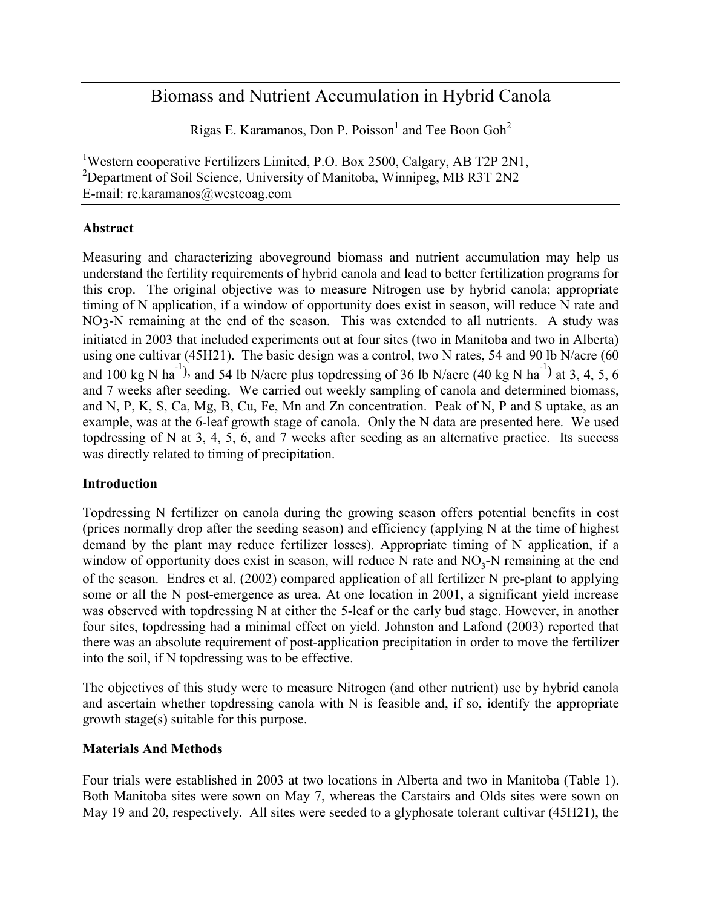# Biomass and Nutrient Accumulation in Hybrid Canola

Rigas E. Karamanos, Don P. Poisson<sup>1</sup> and Tee Boon Goh<sup>2</sup>

<sup>1</sup>Western cooperative Fertilizers Limited, P.O. Box 2500, Calgary, AB T2P 2N1, <sup>2</sup>Department of Soil Science, University of Manitoba, Winnipeg, MB R3T 2N2 E-mail: re.karamanos@westcoag.com

# **Abstract**

Measuring and characterizing aboveground biomass and nutrient accumulation may help us understand the fertility requirements of hybrid canola and lead to better fertilization programs for this crop. The original objective was to measure Nitrogen use by hybrid canola; appropriate timing of N application, if a window of opportunity does exist in season, will reduce N rate and NO3-N remaining at the end of the season. This was extended to all nutrients. A study was initiated in 2003 that included experiments out at four sites (two in Manitoba and two in Alberta) using one cultivar (45H21). The basic design was a control, two N rates, 54 and 90 lb N/acre (60 and 100 kg N ha<sup>-1</sup>), and 54 lb N/acre plus topdressing of 36 lb N/acre (40 kg N ha<sup>-1</sup>) at 3, 4, 5, 6 and 7 weeks after seeding. We carried out weekly sampling of canola and determined biomass, and N, P, K, S, Ca, Mg, B, Cu, Fe, Mn and Zn concentration. Peak of N, P and S uptake, as an example, was at the 6-leaf growth stage of canola. Only the N data are presented here. We used topdressing of N at 3, 4, 5, 6, and 7 weeks after seeding as an alternative practice. Its success was directly related to timing of precipitation.

# **Introduction**

Topdressing N fertilizer on canola during the growing season offers potential benefits in cost (prices normally drop after the seeding season) and efficiency (applying N at the time of highest demand by the plant may reduce fertilizer losses). Appropriate timing of N application, if a window of opportunity does exist in season, will reduce N rate and  $NO<sub>3</sub>$ -N remaining at the end of the season. Endres et al. (2002) compared application of all fertilizer N pre-plant to applying some or all the N post-emergence as urea. At one location in 2001, a significant yield increase was observed with topdressing N at either the 5-leaf or the early bud stage. However, in another four sites, topdressing had a minimal effect on yield. Johnston and Lafond (2003) reported that there was an absolute requirement of post-application precipitation in order to move the fertilizer into the soil, if N topdressing was to be effective.

The objectives of this study were to measure Nitrogen (and other nutrient) use by hybrid canola and ascertain whether topdressing canola with N is feasible and, if so, identify the appropriate growth stage(s) suitable for this purpose.

# **Materials And Methods**

Four trials were established in 2003 at two locations in Alberta and two in Manitoba (Table 1). Both Manitoba sites were sown on May 7, whereas the Carstairs and Olds sites were sown on May 19 and 20, respectively. All sites were seeded to a glyphosate tolerant cultivar (45H21), the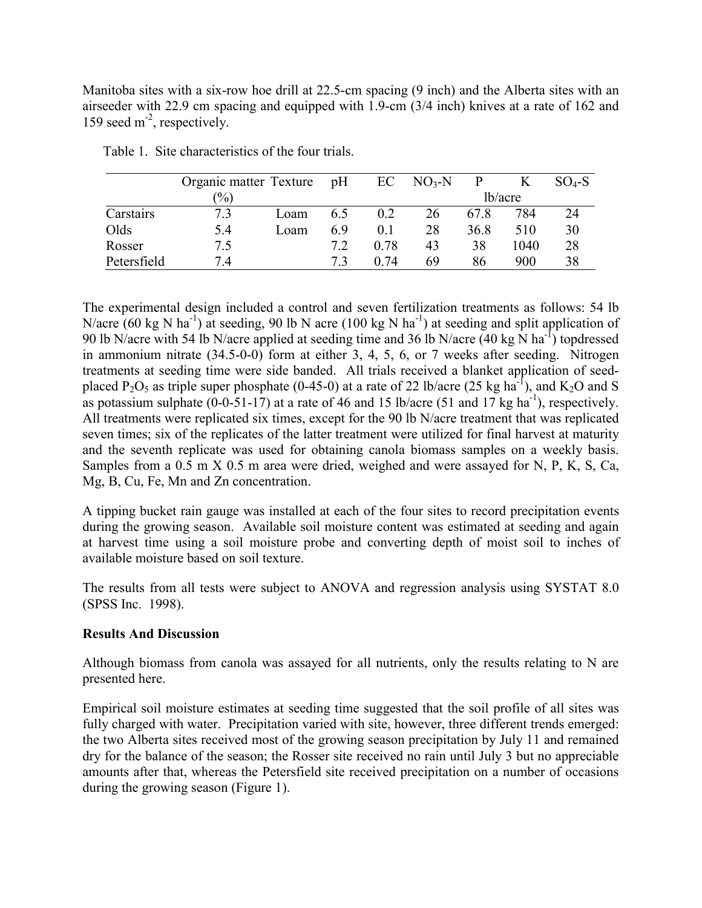Manitoba sites with a six-row hoe drill at 22.5-cm spacing (9 inch) and the Alberta sites with an airseeder with 22.9 cm spacing and equipped with 1.9-cm (3/4 inch) knives at a rate of 162 and 159 seed  $m<sup>2</sup>$ , respectively.

|             | Organic matter Texture pH |      |     | EC   | $NO3-N$ |      |         | $SO4-S$ |
|-------------|---------------------------|------|-----|------|---------|------|---------|---------|
|             | $\frac{1}{2}$             |      |     |      |         |      | lb/acre |         |
| Carstairs   | 7.3                       | Loam | 6.5 | 0.2  | 26      | 678  | 784     | 24      |
| Olds        | 5.4                       | Loam | 69  | 01   | 28      | 36.8 | 510     | 30      |
| Rosser      | 7.5                       |      | 7.2 | 0.78 | 43      | 38   | 1040    | 28      |
| Petersfield | 74                        |      | 73  | 0.74 | 69      | 86   | 900     | 38      |

Table 1. Site characteristics of the four trials.

The experimental design included a control and seven fertilization treatments as follows: 54 lb N/acre (60 kg N ha<sup>-1</sup>) at seeding, 90 lb N acre (100 kg N ha<sup>-1</sup>) at seeding and split application of 90 lb N/acre with 54 lb N/acre applied at seeding time and 36 lb N/acre (40 kg N ha-1) topdressed in ammonium nitrate (34.5-0-0) form at either 3, 4, 5, 6, or 7 weeks after seeding. Nitrogen treatments at seeding time were side banded. All trials received a blanket application of seedplaced P<sub>2</sub>O<sub>5</sub> as triple super phosphate (0-45-0) at a rate of 22 lb/acre (25 kg ha<sup>-1</sup>), and K<sub>2</sub>O and S as potassium sulphate  $(0-0-51-17)$  at a rate of 46 and 15 lb/acre (51 and 17 kg ha<sup>-1</sup>), respectively. All treatments were replicated six times, except for the 90 lb N/acre treatment that was replicated seven times; six of the replicates of the latter treatment were utilized for final harvest at maturity and the seventh replicate was used for obtaining canola biomass samples on a weekly basis. Samples from a 0.5 m X 0.5 m area were dried, weighed and were assayed for N, P, K, S, Ca, Mg, B, Cu, Fe, Mn and Zn concentration.

A tipping bucket rain gauge was installed at each of the four sites to record precipitation events during the growing season. Available soil moisture content was estimated at seeding and again at harvest time using a soil moisture probe and converting depth of moist soil to inches of available moisture based on soil texture.

The results from all tests were subject to ANOVA and regression analysis using SYSTAT 8.0 (SPSS Inc. 1998).

# **Results And Discussion**

Although biomass from canola was assayed for all nutrients, only the results relating to N are presented here.

Empirical soil moisture estimates at seeding time suggested that the soil profile of all sites was fully charged with water. Precipitation varied with site, however, three different trends emerged: the two Alberta sites received most of the growing season precipitation by July 11 and remained dry for the balance of the season; the Rosser site received no rain until July 3 but no appreciable amounts after that, whereas the Petersfield site received precipitation on a number of occasions during the growing season (Figure 1).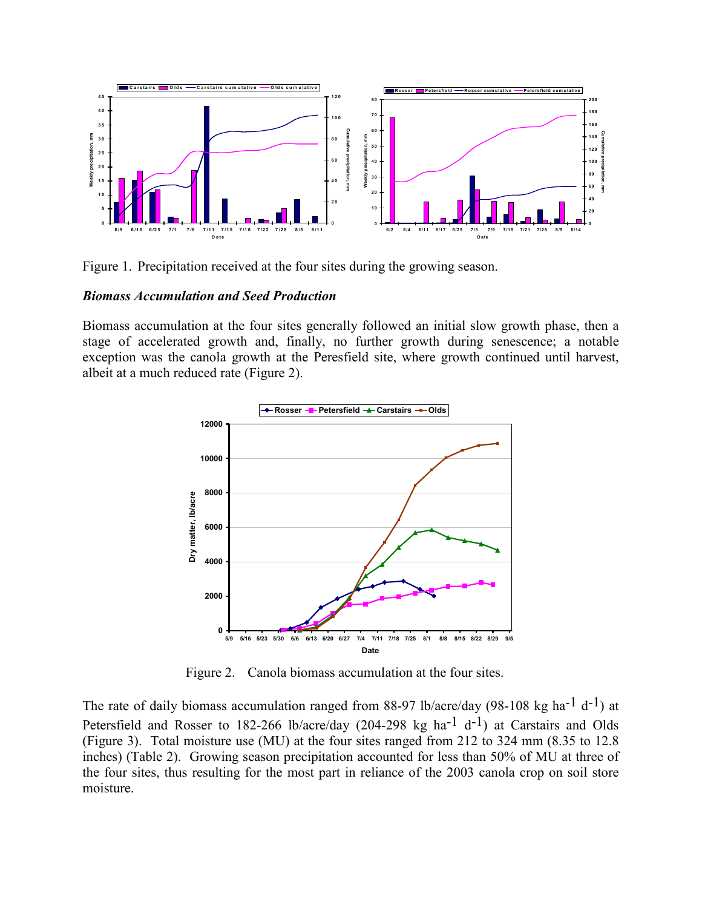

Figure 1. Precipitation received at the four sites during the growing season.

#### *Biomass Accumulation and Seed Production*

Biomass accumulation at the four sites generally followed an initial slow growth phase, then a stage of accelerated growth and, finally, no further growth during senescence; a notable exception was the canola growth at the Peresfield site, where growth continued until harvest, albeit at a much reduced rate (Figure 2).



Figure 2. Canola biomass accumulation at the four sites.

The rate of daily biomass accumulation ranged from 88-97 lb/acre/day (98-108 kg ha<sup>-1</sup> d<sup>-1</sup>) at Petersfield and Rosser to 182-266 lb/acre/day (204-298 kg ha<sup>-1</sup> d<sup>-1</sup>) at Carstairs and Olds (Figure 3). Total moisture use (MU) at the four sites ranged from 212 to 324 mm (8.35 to 12.8 inches) (Table 2). Growing season precipitation accounted for less than 50% of MU at three of the four sites, thus resulting for the most part in reliance of the 2003 canola crop on soil store moisture.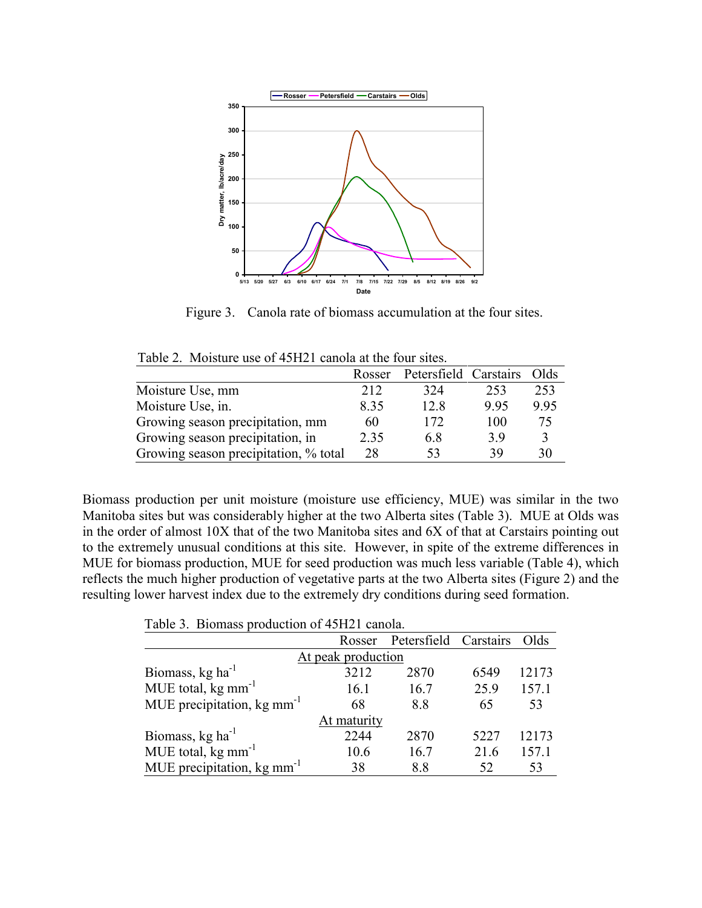

Figure 3. Canola rate of biomass accumulation at the four sites.

| Table 2. Moisture use of 45H21 canola at the four sites. |                    |
|----------------------------------------------------------|--------------------|
|                                                          | Doggar Dotoratiold |

|                                       | Rosser | Petersfield Carstairs |      | Olds |
|---------------------------------------|--------|-----------------------|------|------|
| Moisture Use, mm                      | 212    | 324                   | 253  | 253  |
| Moisture Use, in.                     | 8.35   | 12.8                  | 9.95 | 9.95 |
| Growing season precipitation, mm      | 60     | 172                   | 100  | 75   |
| Growing season precipitation, in      | 2.35   | 6.8                   | 39   |      |
| Growing season precipitation, % total | 28     | 53                    | 39   | 30   |

Biomass production per unit moisture (moisture use efficiency, MUE) was similar in the two Manitoba sites but was considerably higher at the two Alberta sites (Table 3). MUE at Olds was in the order of almost 10X that of the two Manitoba sites and 6X of that at Carstairs pointing out to the extremely unusual conditions at this site. However, in spite of the extreme differences in MUE for biomass production, MUE for seed production was much less variable (Table 4), which reflects the much higher production of vegetative parts at the two Alberta sites (Figure 2) and the resulting lower harvest index due to the extremely dry conditions during seed formation.

Table 3. Biomass production of 45H21 canola.

|                                           |      | Rosser Petersfield Carstairs |      | Olds  |  |  |
|-------------------------------------------|------|------------------------------|------|-------|--|--|
| At peak production                        |      |                              |      |       |  |  |
| Biomass, kg ha <sup>-1</sup>              | 3212 | 2870                         | 6549 | 12173 |  |  |
| MUE total, $kg \text{ mm}^{-1}$           | 16.1 | 16.7                         | 25.9 | 157.1 |  |  |
| MUE precipitation, $kg \, \text{mm}^{-1}$ | 68   | 8.8                          | 65   | 53    |  |  |
| At maturity                               |      |                              |      |       |  |  |
| Biomass, kg ha <sup>-1</sup>              | 2244 | 2870                         | 5227 | 12173 |  |  |
| MUE total, kg mm <sup>-1</sup>            | 10.6 | 16.7                         | 21.6 | 157.1 |  |  |
| MUE precipitation, $kg \, \text{mm}^{-1}$ | 38   | 8.8                          | 52   | 53    |  |  |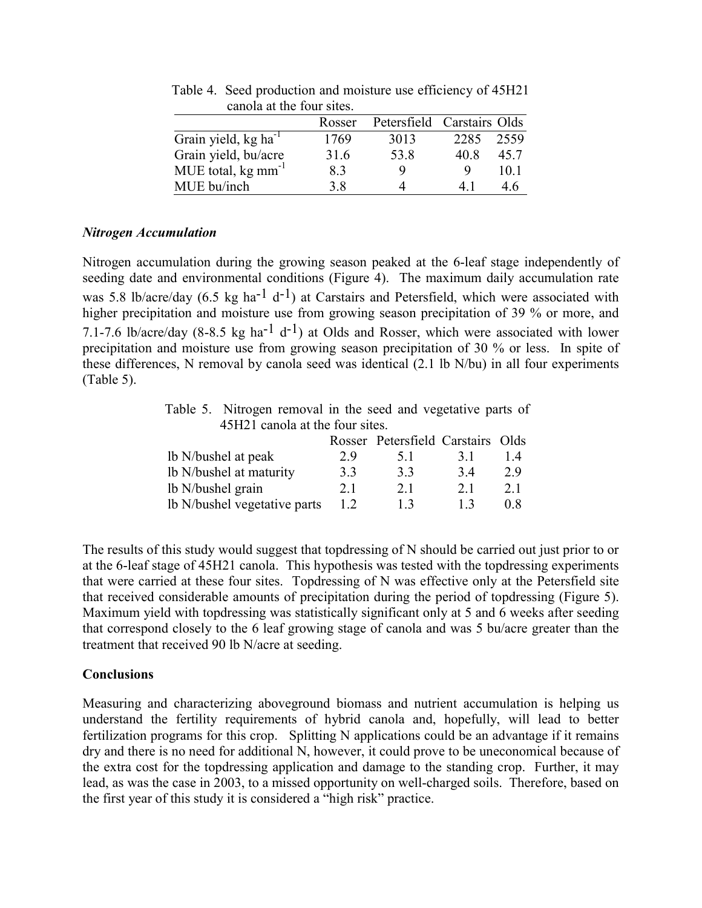|                                   | Rosser | Petersfield Carstairs Olds |      |      |
|-----------------------------------|--------|----------------------------|------|------|
| Grain yield, kg ha <sup>-1</sup>  | 1769   | 3013                       | 2285 | 2559 |
| Grain yield, bu/acre              | 316    | 53.8                       | 40 R | 45.7 |
| MUE total, $kg \, \text{mm}^{-1}$ | 83     | Q                          | Q    | 10 1 |
| MUE bu/inch                       | 38     |                            |      | 46   |

Table 4. Seed production and moisture use efficiency of 45H21 canola at the four sites.

#### *Nitrogen Accumulation*

Nitrogen accumulation during the growing season peaked at the 6-leaf stage independently of seeding date and environmental conditions (Figure 4). The maximum daily accumulation rate was 5.8 lb/acre/day (6.5 kg ha<sup>-1</sup> d<sup>-1</sup>) at Carstairs and Petersfield, which were associated with higher precipitation and moisture use from growing season precipitation of 39 % or more, and 7.1-7.6 lb/acre/day (8-8.5 kg ha<sup>-1</sup> d<sup>-1</sup>) at Olds and Rosser, which were associated with lower precipitation and moisture use from growing season precipitation of 30 % or less. In spite of these differences, N removal by canola seed was identical (2.1 lb N/bu) in all four experiments (Table 5).

Table 5. Nitrogen removal in the seed and vegetative parts of 45H21 canola at the four sites.

|                              |    | Rosser Petersfield Carstairs Olds |     |                  |
|------------------------------|----|-----------------------------------|-----|------------------|
| lb N/bushel at peak          | 29 | 5 <sub>1</sub>                    | 31  | $\overline{1}$ 4 |
| lb N/bushel at maturity      | 33 | 33                                | 34  | 29               |
| lb N/bushel grain            | 21 | 21                                | 2.1 | 2.1              |
| Ib N/bushel vegetative parts | 12 | 13                                | 13  | 08               |

The results of this study would suggest that topdressing of N should be carried out just prior to or at the 6-leaf stage of 45H21 canola. This hypothesis was tested with the topdressing experiments that were carried at these four sites. Topdressing of N was effective only at the Petersfield site that received considerable amounts of precipitation during the period of topdressing (Figure 5). Maximum yield with topdressing was statistically significant only at 5 and 6 weeks after seeding that correspond closely to the 6 leaf growing stage of canola and was 5 bu/acre greater than the treatment that received 90 lb N/acre at seeding.

# **Conclusions**

Measuring and characterizing aboveground biomass and nutrient accumulation is helping us understand the fertility requirements of hybrid canola and, hopefully, will lead to better fertilization programs for this crop. Splitting N applications could be an advantage if it remains dry and there is no need for additional N, however, it could prove to be uneconomical because of the extra cost for the topdressing application and damage to the standing crop. Further, it may lead, as was the case in 2003, to a missed opportunity on well-charged soils. Therefore, based on the first year of this study it is considered a "high risk" practice.